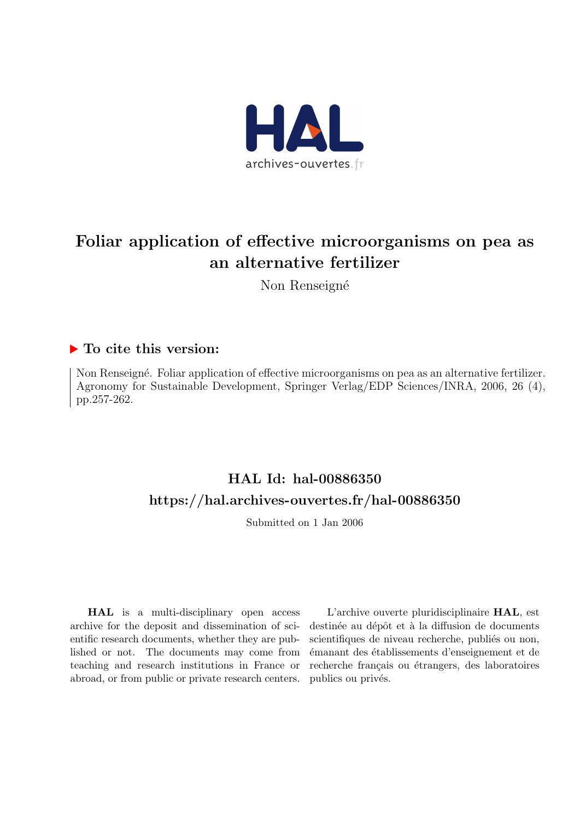

# Foliar application of effective microorganisms on pea as an alternative fertilizer

Non Renseigné

# ▶ To cite this version:

Non Renseigné. Foliar application of effective microorganisms on pea as an alternative fertilizer. Agronomy for Sustainable Development, Springer Verlag/EDP Sciences/INRA, 2006, 26 (4), pp.257-262.

# HAL Id: hal-00886350 <https://hal.archives-ouvertes.fr/hal-00886350>

Submitted on 1 Jan 2006

HAL is a multi-disciplinary open access archive for the deposit and dissemination of scientific research documents, whether they are published or not. The documents may come from teaching and research institutions in France or abroad, or from public or private research centers.

L'archive ouverte pluridisciplinaire HAL, est destinée au dépôt et à la diffusion de documents scientifiques de niveau recherche, publiés ou non, ´emanant des ´etablissements d'enseignement et de recherche français ou étrangers, des laboratoires publics ou privés.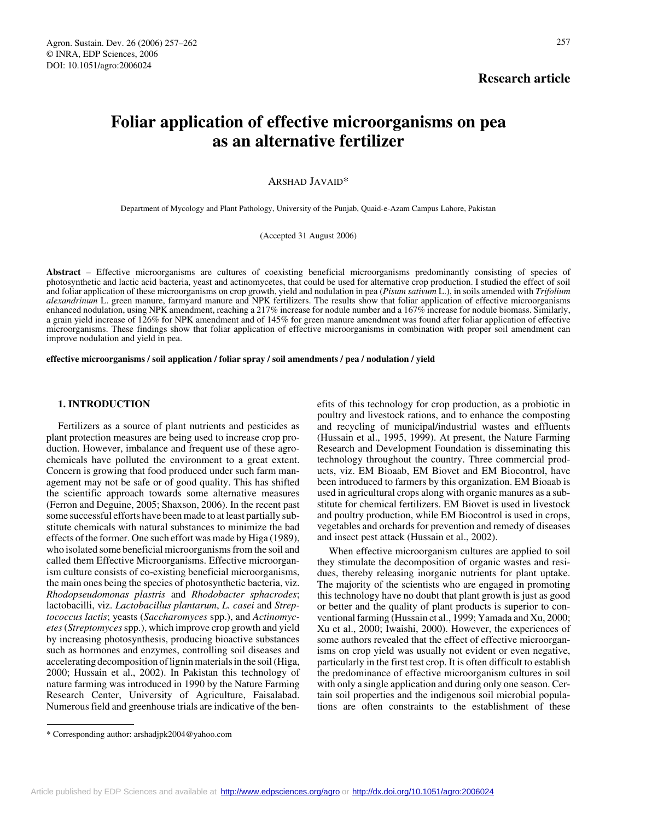# **Research article**

# **Foliar application of effective microorganisms on pea as an alternative fertilizer**

## ARSHAD JAVAID\*

Department of Mycology and Plant Pathology, University of the Punjab, Quaid-e-Azam Campus Lahore, Pakistan

#### (Accepted 31 August 2006)

**Abstract** – Effective microorganisms are cultures of coexisting beneficial microorganisms predominantly consisting of species of photosynthetic and lactic acid bacteria, yeast and actinomycetes, that could be used for alternative crop production. I studied the effect of soil and foliar application of these microorganisms on crop growth, yield and nodulation in pea (*Pisum sativum* L.), in soils amended with *Trifolium alexandrinum* L. green manure, farmyard manure and NPK fertilizers. The results show that foliar application of effective microorganisms enhanced nodulation, using NPK amendment, reaching a 217% increase for nodule number and a 167% increase for nodule biomass. Similarly, a grain yield increase of 126% for NPK amendment and of 145% for green manure amendment was found after foliar application of effective microorganisms. These findings show that foliar application of effective microorganisms in combination with proper soil amendment can improve nodulation and yield in pea.

**effective microorganisms / soil application / foliar spray / soil amendments / pea / nodulation / yield**

#### **1. INTRODUCTION**

Fertilizers as a source of plant nutrients and pesticides as plant protection measures are being used to increase crop production. However, imbalance and frequent use of these agrochemicals have polluted the environment to a great extent. Concern is growing that food produced under such farm management may not be safe or of good quality. This has shifted the scientific approach towards some alternative measures (Ferron and Deguine, 2005; Shaxson, 2006). In the recent past some successful efforts have been made to at least partially substitute chemicals with natural substances to minimize the bad effects of the former. One such effort was made by Higa (1989), who isolated some beneficial microorganisms from the soil and called them Effective Microorganisms. Effective microorganism culture consists of co-existing beneficial microorganisms, the main ones being the species of photosynthetic bacteria, viz. *Rhodopseudomonas plastris* and *Rhodobacter sphacrodes*; lactobacilli, viz. *Lactobacillus plantarum*, *L. casei* and *Streptococcus lactis*; yeasts (*Saccharomyces* spp.), and *Actinomycetes* (*Streptomyces* spp.), which improve crop growth and yield by increasing photosynthesis, producing bioactive substances such as hormones and enzymes, controlling soil diseases and accelerating decomposition of lignin materials in the soil (Higa, 2000; Hussain et al., 2002). In Pakistan this technology of nature farming was introduced in 1990 by the Nature Farming Research Center, University of Agriculture, Faisalabad. Numerous field and greenhouse trials are indicative of the benefits of this technology for crop production, as a probiotic in poultry and livestock rations, and to enhance the composting and recycling of municipal/industrial wastes and effluents (Hussain et al., 1995, 1999). At present, the Nature Farming Research and Development Foundation is disseminating this technology throughout the country. Three commercial products, viz. EM Bioaab, EM Biovet and EM Biocontrol, have been introduced to farmers by this organization. EM Bioaab is used in agricultural crops along with organic manures as a substitute for chemical fertilizers. EM Biovet is used in livestock and poultry production, while EM Biocontrol is used in crops, vegetables and orchards for prevention and remedy of diseases and insect pest attack (Hussain et al., 2002).

When effective microorganism cultures are applied to soil they stimulate the decomposition of organic wastes and residues, thereby releasing inorganic nutrients for plant uptake. The majority of the scientists who are engaged in promoting this technology have no doubt that plant growth is just as good or better and the quality of plant products is superior to conventional farming (Hussain et al., 1999; Yamada and Xu, 2000; Xu et al., 2000; Iwaishi, 2000). However, the experiences of some authors revealed that the effect of effective microorganisms on crop yield was usually not evident or even negative, particularly in the first test crop. It is often difficult to establish the predominance of effective microorganism cultures in soil with only a single application and during only one season. Certain soil properties and the indigenous soil microbial populations are often constraints to the establishment of these

<sup>\*</sup> Corresponding author: arshadjpk2004@yahoo.com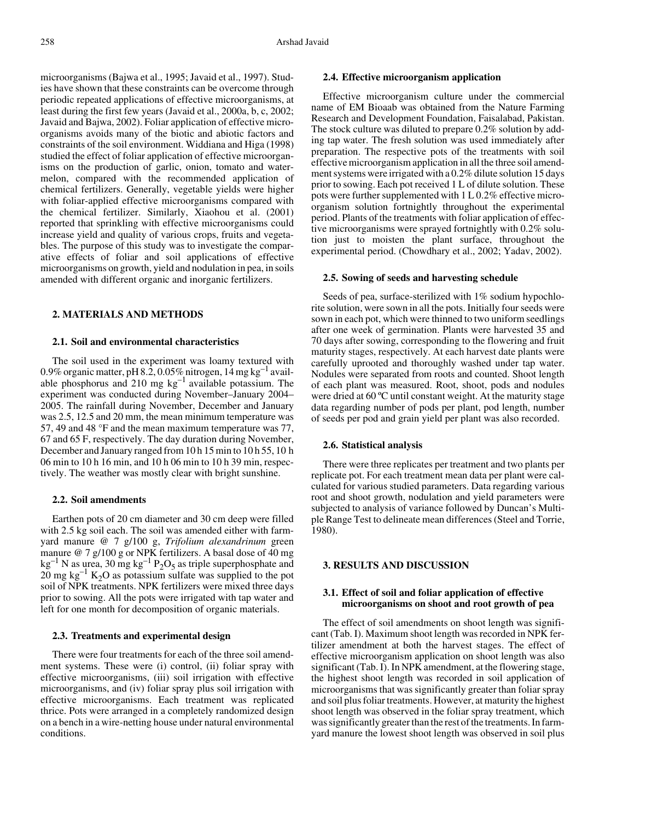microorganisms (Bajwa et al., 1995; Javaid et al., 1997). Studies have shown that these constraints can be overcome through periodic repeated applications of effective microorganisms, at least during the first few years (Javaid et al., 2000a, b, c, 2002; Javaid and Bajwa, 2002). Foliar application of effective microorganisms avoids many of the biotic and abiotic factors and constraints of the soil environment. Widdiana and Higa (1998) studied the effect of foliar application of effective microorganisms on the production of garlic, onion, tomato and watermelon, compared with the recommended application of chemical fertilizers. Generally, vegetable yields were higher with foliar-applied effective microorganisms compared with the chemical fertilizer. Similarly, Xiaohou et al. (2001) reported that sprinkling with effective microorganisms could increase yield and quality of various crops, fruits and vegetables. The purpose of this study was to investigate the comparative effects of foliar and soil applications of effective microorganisms on growth, yield and nodulation in pea, in soils amended with different organic and inorganic fertilizers.

#### **2. MATERIALS AND METHODS**

#### **2.1. Soil and environmental characteristics**

The soil used in the experiment was loamy textured with 0.9% organic matter, pH 8.2, 0.05% nitrogen,  $14 \text{ mg kg}^{-1}$  available phosphorus and  $210 \text{ mg kg}^{-1}$  available potassium. The experiment was conducted during November–January 2004– 2005. The rainfall during November, December and January was 2.5, 12.5 and 20 mm, the mean minimum temperature was 57, 49 and 48 °F and the mean maximum temperature was 77, 67 and 65 F, respectively. The day duration during November, December and January ranged from 10 h 15 min to 10 h 55, 10 h 06 min to 10 h 16 min, and 10 h 06 min to 10 h 39 min, respectively. The weather was mostly clear with bright sunshine.

#### **2.2. Soil amendments**

Earthen pots of 20 cm diameter and 30 cm deep were filled with 2.5 kg soil each. The soil was amended either with farmyard manure @ 7 g/100 g, *Trifolium alexandrinum* green manure @ 7 g/100 g or NPK fertilizers. A basal dose of 40 mg  $kg^{-1}$  N as urea, 30 mg kg<sup>-1</sup> P<sub>2</sub>O<sub>5</sub> as triple superphosphate and  $20 \text{ mg kg}^{-1}$  K<sub>2</sub>O as potassium sulfate was supplied to the pot soil of NPK treatments. NPK fertilizers were mixed three days prior to sowing. All the pots were irrigated with tap water and left for one month for decomposition of organic materials.

#### **2.3. Treatments and experimental design**

There were four treatments for each of the three soil amendment systems. These were (i) control, (ii) foliar spray with effective microorganisms, (iii) soil irrigation with effective microorganisms, and (iv) foliar spray plus soil irrigation with effective microorganisms. Each treatment was replicated thrice. Pots were arranged in a completely randomized design on a bench in a wire-netting house under natural environmental conditions.

#### **2.4. Effective microorganism application**

Effective microorganism culture under the commercial name of EM Bioaab was obtained from the Nature Farming Research and Development Foundation, Faisalabad, Pakistan. The stock culture was diluted to prepare 0.2% solution by adding tap water. The fresh solution was used immediately after preparation. The respective pots of the treatments with soil effective microorganism application in all the three soil amendment systems were irrigated with a 0.2% dilute solution 15 days prior to sowing. Each pot received 1 L of dilute solution. These pots were further supplemented with 1 L 0.2% effective microorganism solution fortnightly throughout the experimental period. Plants of the treatments with foliar application of effective microorganisms were sprayed fortnightly with 0.2% solution just to moisten the plant surface, throughout the experimental period. (Chowdhary et al., 2002; Yadav, 2002).

#### **2.5. Sowing of seeds and harvesting schedule**

Seeds of pea, surface-sterilized with 1% sodium hypochlorite solution, were sown in all the pots. Initially four seeds were sown in each pot, which were thinned to two uniform seedlings after one week of germination. Plants were harvested 35 and 70 days after sowing, corresponding to the flowering and fruit maturity stages, respectively. At each harvest date plants were carefully uprooted and thoroughly washed under tap water. Nodules were separated from roots and counted. Shoot length of each plant was measured. Root, shoot, pods and nodules were dried at 60 °C until constant weight. At the maturity stage data regarding number of pods per plant, pod length, number of seeds per pod and grain yield per plant was also recorded.

#### **2.6. Statistical analysis**

There were three replicates per treatment and two plants per replicate pot. For each treatment mean data per plant were calculated for various studied parameters. Data regarding various root and shoot growth, nodulation and yield parameters were subjected to analysis of variance followed by Duncan's Multiple Range Test to delineate mean differences (Steel and Torrie, 1980).

#### **3. RESULTS AND DISCUSSION**

### **3.1. Effect of soil and foliar application of effective microorganisms on shoot and root growth of pea**

The effect of soil amendments on shoot length was significant (Tab. I). Maximum shoot length was recorded in NPK fertilizer amendment at both the harvest stages. The effect of effective microorganism application on shoot length was also significant (Tab. I). In NPK amendment, at the flowering stage, the highest shoot length was recorded in soil application of microorganisms that was significantly greater than foliar spray and soil plus foliar treatments. However, at maturity the highest shoot length was observed in the foliar spray treatment, which was significantly greater than the rest of the treatments. In farmyard manure the lowest shoot length was observed in soil plus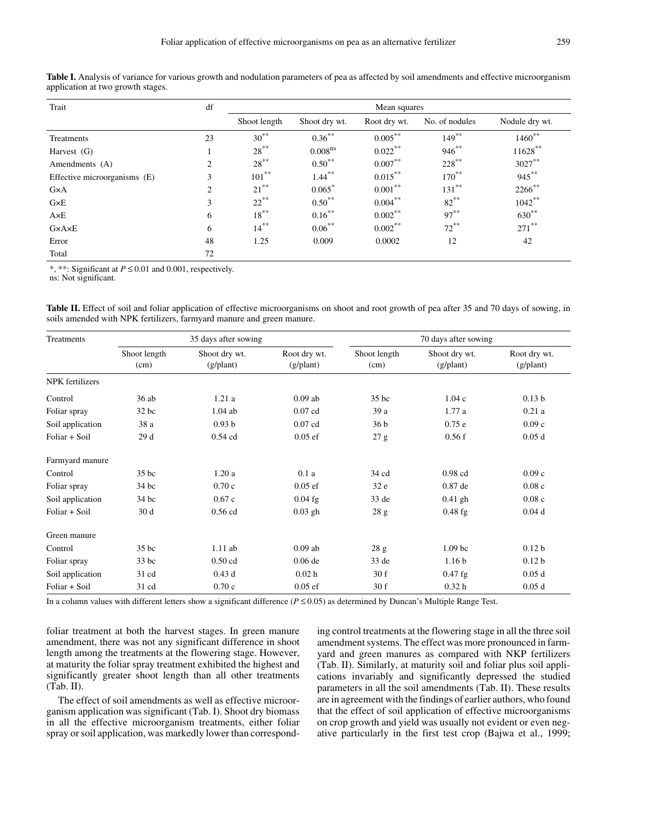| Trait                        | df             | Mean squares |                     |              |                |                |  |  |  |
|------------------------------|----------------|--------------|---------------------|--------------|----------------|----------------|--|--|--|
|                              |                | Shoot length | Shoot dry wt.       | Root dry wt. | No. of nodules | Nodule dry wt. |  |  |  |
| Treatments                   | 23             | $30^{**}$    | $0.36***$           | $0.005***$   | $149***$       | $1460**$       |  |  |  |
| Harvest $(G)$                |                | $28***$      | 0.008 <sup>ns</sup> | $0.022***$   | $946^{**}$     | $11628***$     |  |  |  |
| Amendments (A)               | 2              | $28***$      | $0.50***$           | $0.007***$   | $228***$       | $3027***$      |  |  |  |
| Effective microorganisms (E) | 3              | $101***$     | $1.44***$           | $0.015***$   | $170***$       | $945***$       |  |  |  |
| $G \times A$                 | $\overline{2}$ | $21***$      | $0.065*$            | $0.001***$   | $131***$       | 2266**         |  |  |  |
| $G \times E$                 | 3              | $22***$      | $0.50***$           | $0.004***$   | $82***$        | $1042***$      |  |  |  |
| $A\times E$                  | 6              | $18***$      | $0.16***$           | $0.002***$   | $97***$        | $630^{**}$     |  |  |  |
| G×A×E                        | 6              | $14***$      | $0.06***$           | $0.002***$   | $72***$        | $271$ **       |  |  |  |
| Error                        | 48             | 1.25         | 0.009               | 0.0002       | 12             | 42             |  |  |  |
| Total                        | 72             |              |                     |              |                |                |  |  |  |

Table I. Analysis of variance for various growth and nodulation parameters of pea as affected by soil amendments and effective microorganism application at two growth stages.

\*, \*\*: Significant at *P* ≤ 0.01 and 0.001, respectively.

ns: Not significant.

**Table II.** Effect of soil and foliar application of effective microorganisms on shoot and root growth of pea after 35 and 70 days of sowing, in soils amended with NPK fertilizers, farmyard manure and green manure.

| <b>Treatments</b>      |                      | 35 days after sowing       |                           | 70 days after sowing |                            |                           |  |  |
|------------------------|----------------------|----------------------------|---------------------------|----------------------|----------------------------|---------------------------|--|--|
|                        | Shoot length<br>(cm) | Shoot dry wt.<br>(g/plant) | Root dry wt.<br>(g/plant) | Shoot length<br>(cm) | Shoot dry wt.<br>(g/plant) | Root dry wt.<br>(g/plant) |  |  |
| <b>NPK</b> fertilizers |                      |                            |                           |                      |                            |                           |  |  |
| Control                | 36ab                 | 1.21a                      | $0.09$ ab                 | 35 bc                | 1.04c                      | 0.13 <sub>b</sub>         |  |  |
| Foliar spray           | 32 bc                | $1.04$ ab                  | $0.07$ cd                 | 39 a                 | 1.77a                      | 0.21a                     |  |  |
| Soil application       | 38 a                 | 0.93 <sub>b</sub>          | $0.07$ cd                 | 36 <sub>b</sub>      | 0.75e                      | 0.09c                     |  |  |
| Foliar + Soil          | 29d                  | $0.54$ cd                  | $0.05$ ef                 | 27 g                 | 0.56f                      | 0.05d                     |  |  |
| Farmyard manure        |                      |                            |                           |                      |                            |                           |  |  |
| Control                | 35 <sub>bc</sub>     | 1.20a                      | 0.1a                      | 34 cd                | $0.98$ cd                  | 0.09c                     |  |  |
| Foliar spray           | $34$ bc              | 0.70c                      | $0.05$ ef                 | 32e                  | $0.87$ de                  | 0.08c                     |  |  |
| Soil application       | 34 bc                | 0.67c                      | $0.04$ fg                 | 33 de                | $0.41$ gh                  | 0.08c                     |  |  |
| Foliar + Soil          | 30 d                 | $0.56$ cd                  | $0.03$ gh                 | 28g                  | $0.48$ fg                  | 0.04d                     |  |  |
| Green manure           |                      |                            |                           |                      |                            |                           |  |  |
| Control                | 35 <sub>bc</sub>     | $1.11$ ab                  | $0.09$ ab                 | 28 g                 | 1.09 <sub>bc</sub>         | 0.12 <sub>b</sub>         |  |  |
| Foliar spray           | $33$ bc              | $0.50$ cd                  | $0.06$ de                 | 33 de                | 1.16 <sub>b</sub>          | 0.12 <sub>b</sub>         |  |  |
| Soil application       | 31 cd                | 0.43d                      | 0.02 <sub>h</sub>         | 30 f                 | $0.47$ fg                  | 0.05d                     |  |  |
| Foliar + Soil          | 31 cd                | 0.70c                      | $0.05$ ef                 | 30 f                 | 0.32 <sub>h</sub>          | 0.05d                     |  |  |

In a column values with different letters show a significant difference  $(P \le 0.05)$  as determined by Duncan's Multiple Range Test.

foliar treatment at both the harvest stages. In green manure amendment, there was not any significant difference in shoot length among the treatments at the flowering stage. However, at maturity the foliar spray treatment exhibited the highest and significantly greater shoot length than all other treatments (Tab. II).

The effect of soil amendments as well as effective microorganism application was significant (Tab. I). Shoot dry biomass in all the effective microorganism treatments, either foliar spray or soil application, was markedly lower than corresponding control treatments at the flowering stage in all the three soil amendment systems. The effect was more pronounced in farmyard and green manures as compared with NKP fertilizers (Tab. II). Similarly, at maturity soil and foliar plus soil applications invariably and significantly depressed the studied parameters in all the soil amendments (Tab. II). These results are in agreement with the findings of earlier authors, who found that the effect of soil application of effective microorganisms on crop growth and yield was usually not evident or even negative particularly in the first test crop (Bajwa et al., 1999;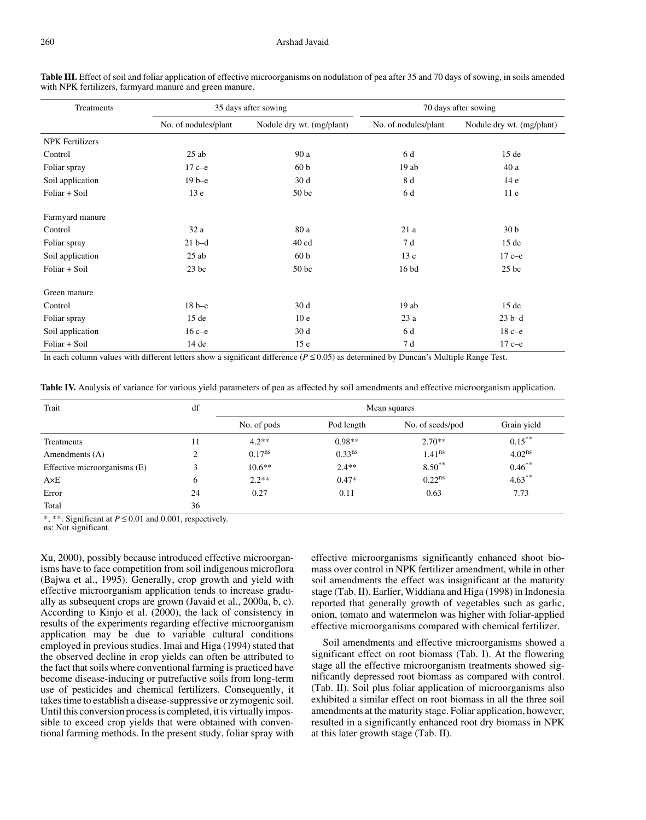| Treatments             |                      | 35 days after sowing      | 70 days after sowing |                           |  |  |
|------------------------|----------------------|---------------------------|----------------------|---------------------------|--|--|
|                        | No. of nodules/plant | Nodule dry wt. (mg/plant) | No. of nodules/plant | Nodule dry wt. (mg/plant) |  |  |
| <b>NPK Fertilizers</b> |                      |                           |                      |                           |  |  |
| Control                | $25$ ab              | 90 a                      | 6 d                  | 15de                      |  |  |
| Foliar spray           | $17c-e$              | 60 <sub>b</sub>           | 19ab                 | 40 a                      |  |  |
| Soil application       | $19b-e$              | 30d                       | 8 d                  | 14e                       |  |  |
| Foliar + Soil          | 13 <sub>e</sub>      | 50 <sub>bc</sub>          | 6 d                  | 11e                       |  |  |
| Farmyard manure        |                      |                           |                      |                           |  |  |
| Control                | 32a                  | 80 a                      | 21a                  | 30 <sub>b</sub>           |  |  |
| Foliar spray           | $21b-d$              | $40$ cd                   | 7 d                  | 15de                      |  |  |
| Soil application       | $25$ ab              | 60 <sub>b</sub>           | 13c                  | $17c-e$                   |  |  |
| Foliar + Soil          | $23$ bc              | 50 <sub>bc</sub>          | 16 bd                | $25$ bc                   |  |  |
| Green manure           |                      |                           |                      |                           |  |  |
| Control                | $18b-e$              | 30 d                      | 19ab                 | 15de                      |  |  |
| Foliar spray           | 15de                 | 10 <sub>e</sub>           | 23a                  | $23 b-d$                  |  |  |
| Soil application       | $16c-e$              | 30d                       | 6 d                  | $18c-e$                   |  |  |
| Foliar + Soil          | 14 de                | 15 <sub>e</sub>           | 7 d                  | $17c-e$                   |  |  |

**Table III.** Effect of soil and foliar application of effective microorganisms on nodulation of pea after 35 and 70 days of sowing, in soils amended with NPK fertilizers, farmyard manure and green manure.

In each column values with different letters show a significant difference ( $P \le 0.05$ ) as determined by Duncan's Multiple Range Test.

|  |  |  |  |  |  |  |  |  | <b>Table IV.</b> Analysis of variance for various yield parameters of pea as affected by soil amendments and effective microorganism application. |  |  |  |  |  |
|--|--|--|--|--|--|--|--|--|---------------------------------------------------------------------------------------------------------------------------------------------------|--|--|--|--|--|
|--|--|--|--|--|--|--|--|--|---------------------------------------------------------------------------------------------------------------------------------------------------|--|--|--|--|--|

| Trait                        | df | Mean squares |                    |                      |             |  |  |
|------------------------------|----|--------------|--------------------|----------------------|-------------|--|--|
|                              |    | No. of pods  | Pod length         | No. of seeds/pod     | Grain yield |  |  |
| Treatments                   | 11 | $4.2**$      | $0.98**$           | $2.70**$             | $0.15***$   |  |  |
| Amendments (A)               | ↑  | $0.17^{ns}$  | 0.33 <sup>ns</sup> | $1.41$ <sup>ns</sup> | $4.02^{ns}$ |  |  |
| Effective microorganisms (E) | 3  | $10.6**$     | $2.4**$            | $8.50***$            | $0.46***$   |  |  |
| $A\times E$                  | 6  | $2.2**$      | $0.47*$            | $0.22^{ns}$          | $4.63***$   |  |  |
| Error                        | 24 | 0.27         | 0.11               | 0.63                 | 7.73        |  |  |
| Total                        | 36 |              |                    |                      |             |  |  |

\*, \*\*: Significant at *P* ≤ 0.01 and 0.001, respectively.

ns: Not significant.

Xu, 2000), possibly because introduced effective microorganisms have to face competition from soil indigenous microflora (Bajwa et al., 1995). Generally, crop growth and yield with effective microorganism application tends to increase gradually as subsequent crops are grown (Javaid et al., 2000a, b, c). According to Kinjo et al. (2000), the lack of consistency in results of the experiments regarding effective microorganism application may be due to variable cultural conditions employed in previous studies. Imai and Higa (1994) stated that the observed decline in crop yields can often be attributed to the fact that soils where conventional farming is practiced have become disease-inducing or putrefactive soils from long-term use of pesticides and chemical fertilizers. Consequently, it takes time to establish a disease-suppressive or zymogenic soil. Until this conversion process is completed, it is virtually impossible to exceed crop yields that were obtained with conventional farming methods. In the present study, foliar spray with effective microorganisms significantly enhanced shoot biomass over control in NPK fertilizer amendment, while in other soil amendments the effect was insignificant at the maturity stage (Tab. II). Earlier, Widdiana and Higa (1998) in Indonesia reported that generally growth of vegetables such as garlic, onion, tomato and watermelon was higher with foliar-applied effective microorganisms compared with chemical fertilizer.

Soil amendments and effective microorganisms showed a significant effect on root biomass (Tab. I). At the flowering stage all the effective microorganism treatments showed significantly depressed root biomass as compared with control. (Tab. II). Soil plus foliar application of microorganisms also exhibited a similar effect on root biomass in all the three soil amendments at the maturity stage. Foliar application, however, resulted in a significantly enhanced root dry biomass in NPK at this later growth stage (Tab. II).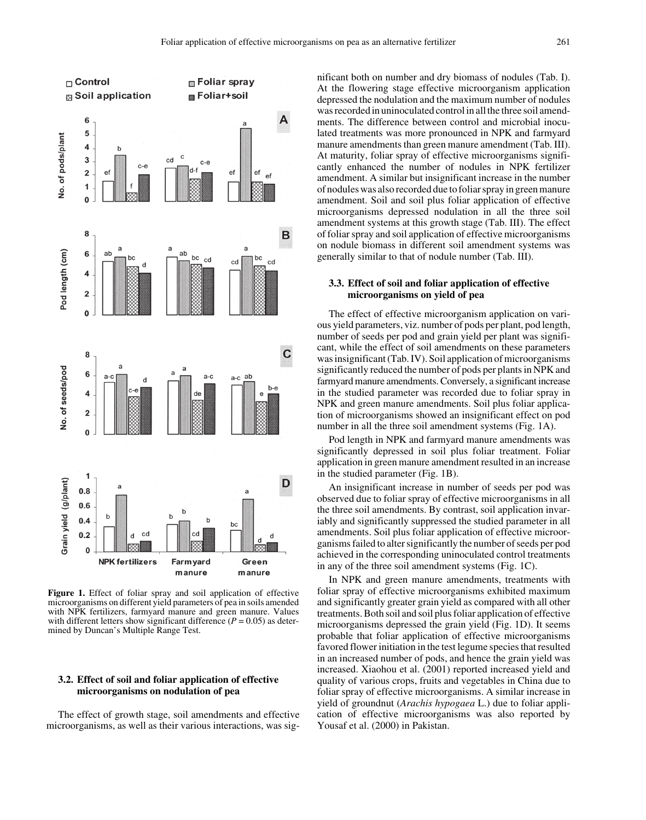

Figure 1. Effect of foliar spray and soil application of effective microorganisms on different yield parameters of pea in soils amended with NPK fertilizers, farmyard manure and green manure. Values with different letters show significant difference  $(P = 0.05)$  as determined by Duncan's Multiple Range Test.

### **3.2. Effect of soil and foliar application of effective microorganisms on nodulation of pea**

The effect of growth stage, soil amendments and effective microorganisms, as well as their various interactions, was significant both on number and dry biomass of nodules (Tab. I). At the flowering stage effective microorganism application depressed the nodulation and the maximum number of nodules was recorded in uninoculated control in all the three soil amendments. The difference between control and microbial inoculated treatments was more pronounced in NPK and farmyard manure amendments than green manure amendment (Tab. III). At maturity, foliar spray of effective microorganisms significantly enhanced the number of nodules in NPK fertilizer amendment. A similar but insignificant increase in the number of nodules was also recorded due to foliar spray in green manure amendment. Soil and soil plus foliar application of effective microorganisms depressed nodulation in all the three soil amendment systems at this growth stage (Tab. III). The effect of foliar spray and soil application of effective microorganisms on nodule biomass in different soil amendment systems was generally similar to that of nodule number (Tab. III).

## **3.3. Effect of soil and foliar application of effective microorganisms on yield of pea**

The effect of effective microorganism application on various yield parameters, viz. number of pods per plant, pod length, number of seeds per pod and grain yield per plant was significant, while the effect of soil amendments on these parameters was insignificant (Tab. IV). Soil application of microorganisms significantly reduced the number of pods per plants in NPK and farmyard manure amendments. Conversely, a significant increase in the studied parameter was recorded due to foliar spray in NPK and green manure amendments. Soil plus foliar application of microorganisms showed an insignificant effect on pod number in all the three soil amendment systems (Fig. 1A).

Pod length in NPK and farmyard manure amendments was significantly depressed in soil plus foliar treatment. Foliar application in green manure amendment resulted in an increase in the studied parameter (Fig. 1B).

An insignificant increase in number of seeds per pod was observed due to foliar spray of effective microorganisms in all the three soil amendments. By contrast, soil application invariably and significantly suppressed the studied parameter in all amendments. Soil plus foliar application of effective microorganisms failed to alter significantly the number of seeds per pod achieved in the corresponding uninoculated control treatments in any of the three soil amendment systems (Fig. 1C).

In NPK and green manure amendments, treatments with foliar spray of effective microorganisms exhibited maximum and significantly greater grain yield as compared with all other treatments. Both soil and soil plus foliar application of effective microorganisms depressed the grain yield (Fig. 1D). It seems probable that foliar application of effective microorganisms favored flower initiation in the test legume species that resulted in an increased number of pods, and hence the grain yield was increased. Xiaohou et al. (2001) reported increased yield and quality of various crops, fruits and vegetables in China due to foliar spray of effective microorganisms. A similar increase in yield of groundnut (*Arachis hypogaea* L.) due to foliar application of effective microorganisms was also reported by Yousaf et al. (2000) in Pakistan.